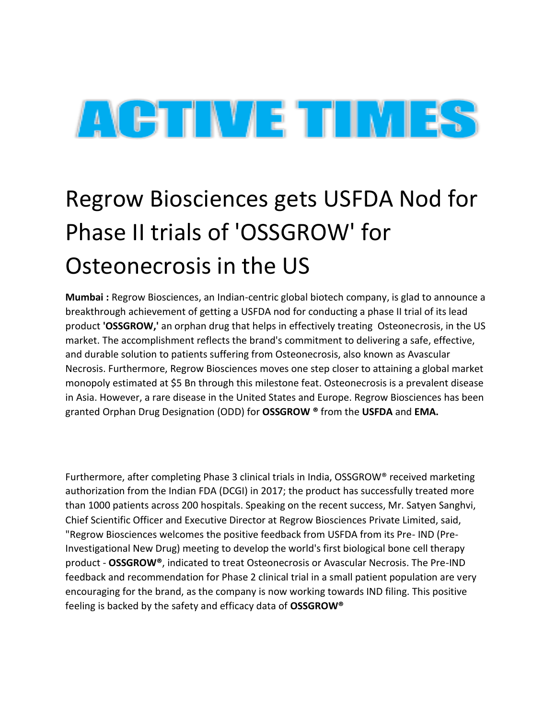

## Regrow Biosciences gets USFDA Nod for Phase II trials of 'OSSGROW' for Osteonecrosis in the US

**Mumbai :** Regrow Biosciences, an Indian-centric global biotech company, is glad to announce a breakthrough achievement of getting a USFDA nod for conducting a phase II trial of its lead product **'OSSGROW,'** an orphan drug that helps in effectively treating Osteonecrosis, in the US market. The accomplishment reflects the brand's commitment to delivering a safe, effective, and durable solution to patients suffering from Osteonecrosis, also known as Avascular Necrosis. Furthermore, Regrow Biosciences moves one step closer to attaining a global market monopoly estimated at \$5 Bn through this milestone feat. Osteonecrosis is a prevalent disease in Asia. However, a rare disease in the United States and Europe. Regrow Biosciences has been granted Orphan Drug Designation (ODD) for **OSSGROW ®** from the **USFDA** and **EMA.**

Furthermore, after completing Phase 3 clinical trials in India, OSSGROW® received marketing authorization from the Indian FDA (DCGI) in 2017; the product has successfully treated more than 1000 patients across 200 hospitals. Speaking on the recent success, Mr. Satyen Sanghvi, Chief Scientific Officer and Executive Director at Regrow Biosciences Private Limited, said, "Regrow Biosciences welcomes the positive feedback from USFDA from its Pre- IND (Pre-Investigational New Drug) meeting to develop the world's first biological bone cell therapy product - **OSSGROW®**, indicated to treat Osteonecrosis or Avascular Necrosis. The Pre-IND feedback and recommendation for Phase 2 clinical trial in a small patient population are very encouraging for the brand, as the company is now working towards IND filing. This positive feeling is backed by the safety and efficacy data of **OSSGROW®**